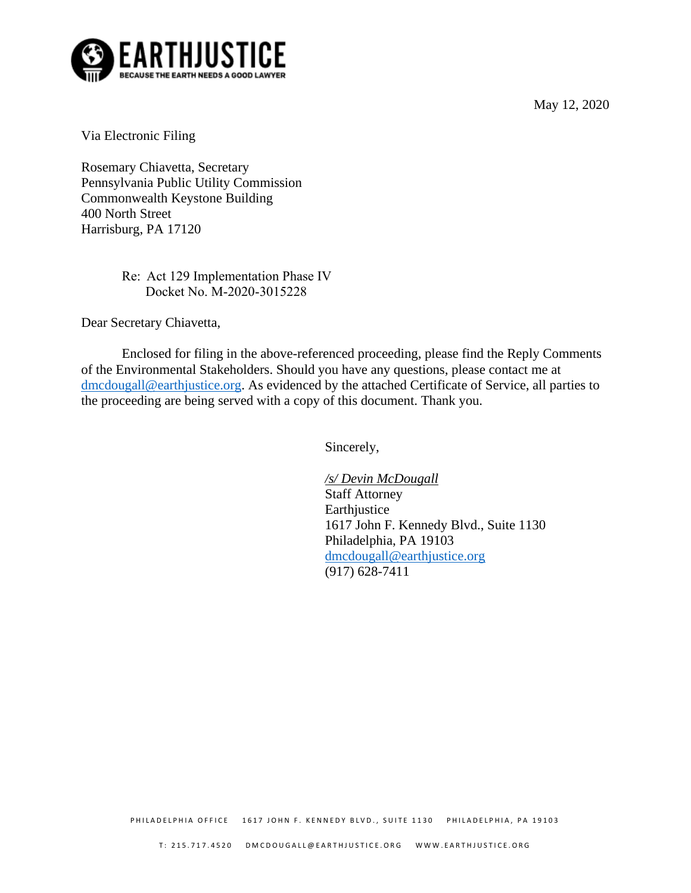May 12, 2020



Via Electronic Filing

Rosemary Chiavetta, Secretary Pennsylvania Public Utility Commission Commonwealth Keystone Building 400 North Street Harrisburg, PA 17120

> Re: Act 129 Implementation Phase IV Docket No. M-2020-3015228

Dear Secretary Chiavetta,

Enclosed for filing in the above-referenced proceeding, please find the Reply Comments of the Environmental Stakeholders. Should you have any questions, please contact me at [dmcdougall@earthjustice.org.](mailto:dmcdougall@earthjustice.org) As evidenced by the attached Certificate of Service, all parties to the proceeding are being served with a copy of this document. Thank you.

Sincerely,

*/s/ Devin McDougall* Staff Attorney Earthjustice 1617 John F. Kennedy Blvd., Suite 1130 Philadelphia, PA 19103 [dmcdougall@earthjustice.org](mailto:dmcdougall@earthjustice.org) (917) 628-7411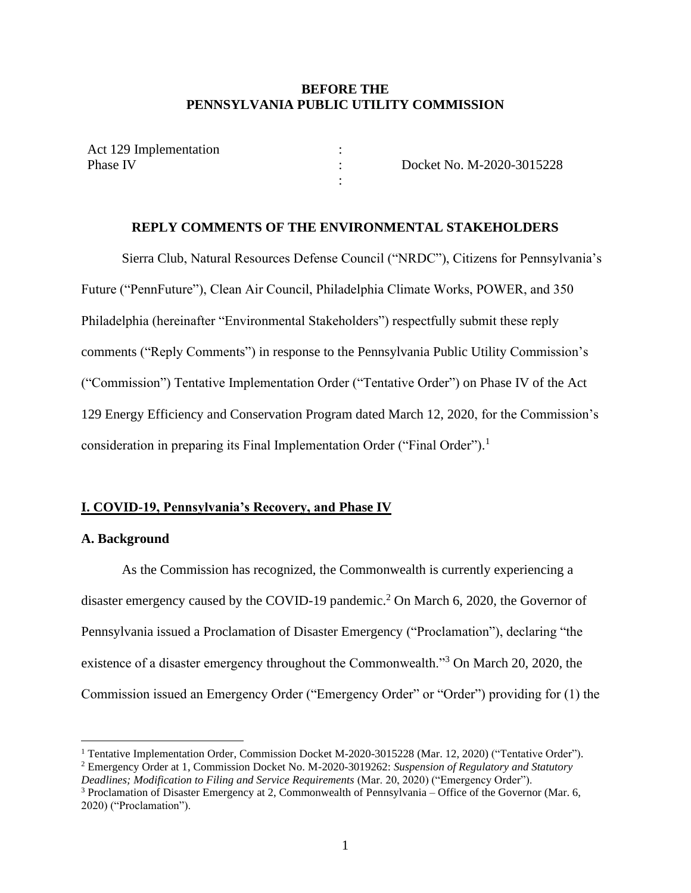### **BEFORE THE PENNSYLVANIA PUBLIC UTILITY COMMISSION**

: : :

Act 129 Implementation Phase IV

Docket No. M-2020-3015228

### **REPLY COMMENTS OF THE ENVIRONMENTAL STAKEHOLDERS**

Sierra Club, Natural Resources Defense Council ("NRDC"), Citizens for Pennsylvania's Future ("PennFuture"), Clean Air Council, Philadelphia Climate Works, POWER, and 350 Philadelphia (hereinafter "Environmental Stakeholders") respectfully submit these reply comments ("Reply Comments") in response to the Pennsylvania Public Utility Commission's ("Commission") Tentative Implementation Order ("Tentative Order") on Phase IV of the Act 129 Energy Efficiency and Conservation Program dated March 12, 2020, for the Commission's consideration in preparing its Final Implementation Order ("Final Order").<sup>1</sup>

### **I. COVID-19, Pennsylvania's Recovery, and Phase IV**

### **A. Background**

As the Commission has recognized, the Commonwealth is currently experiencing a disaster emergency caused by the COVID-19 pandemic.<sup>2</sup> On March 6, 2020, the Governor of Pennsylvania issued a Proclamation of Disaster Emergency ("Proclamation"), declaring "the existence of a disaster emergency throughout the Commonwealth."<sup>3</sup> On March 20, 2020, the Commission issued an Emergency Order ("Emergency Order" or "Order") providing for (1) the

<sup>&</sup>lt;sup>1</sup> Tentative Implementation Order, Commission Docket M-2020-3015228 (Mar. 12, 2020) ("Tentative Order").

<sup>2</sup> Emergency Order at 1, Commission Docket No. M-2020-3019262: *Suspension of Regulatory and Statutory Deadlines; Modification to Filing and Service Requirements* (Mar. 20, 2020) ("Emergency Order").

 $3$  Proclamation of Disaster Emergency at 2, Commonwealth of Pennsylvania – Office of the Governor (Mar. 6, 2020) ("Proclamation").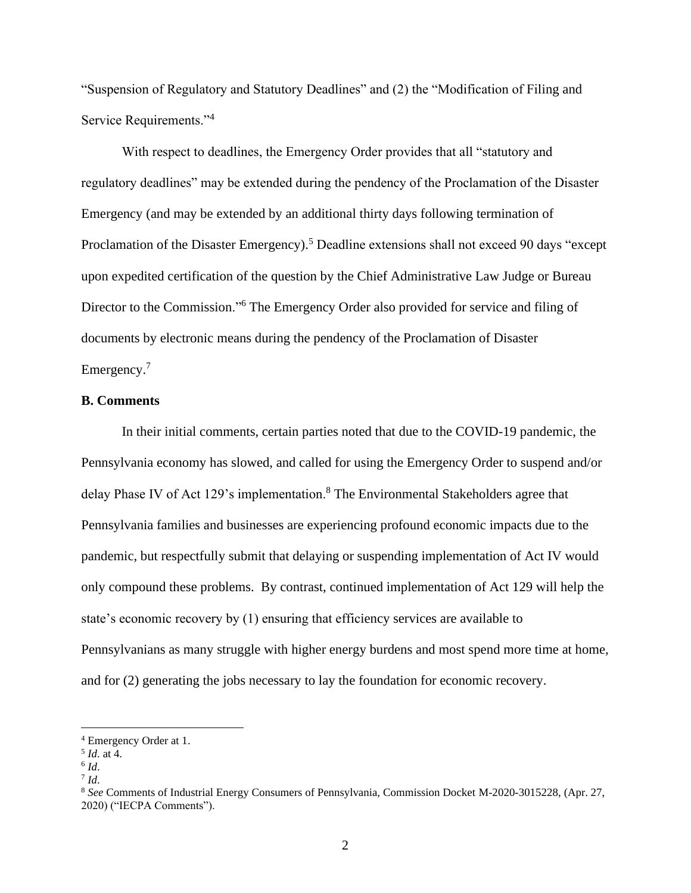"Suspension of Regulatory and Statutory Deadlines" and (2) the "Modification of Filing and Service Requirements."<sup>4</sup>

With respect to deadlines, the Emergency Order provides that all "statutory and regulatory deadlines" may be extended during the pendency of the Proclamation of the Disaster Emergency (and may be extended by an additional thirty days following termination of Proclamation of the Disaster Emergency).<sup>5</sup> Deadline extensions shall not exceed 90 days "except upon expedited certification of the question by the Chief Administrative Law Judge or Bureau Director to the Commission."<sup>6</sup> The Emergency Order also provided for service and filing of documents by electronic means during the pendency of the Proclamation of Disaster Emergency.<sup>7</sup>

### **B. Comments**

In their initial comments, certain parties noted that due to the COVID-19 pandemic, the Pennsylvania economy has slowed, and called for using the Emergency Order to suspend and/or delay Phase IV of Act 129's implementation.<sup>8</sup> The Environmental Stakeholders agree that Pennsylvania families and businesses are experiencing profound economic impacts due to the pandemic, but respectfully submit that delaying or suspending implementation of Act IV would only compound these problems. By contrast, continued implementation of Act 129 will help the state's economic recovery by (1) ensuring that efficiency services are available to Pennsylvanians as many struggle with higher energy burdens and most spend more time at home, and for (2) generating the jobs necessary to lay the foundation for economic recovery.

<sup>4</sup> Emergency Order at 1.

<sup>5</sup> *Id*. at 4.

<sup>6</sup> *Id*.

<sup>7</sup> *Id*.

<sup>8</sup> *See* Comments of Industrial Energy Consumers of Pennsylvania, Commission Docket M-2020-3015228, (Apr. 27, 2020) ("IECPA Comments").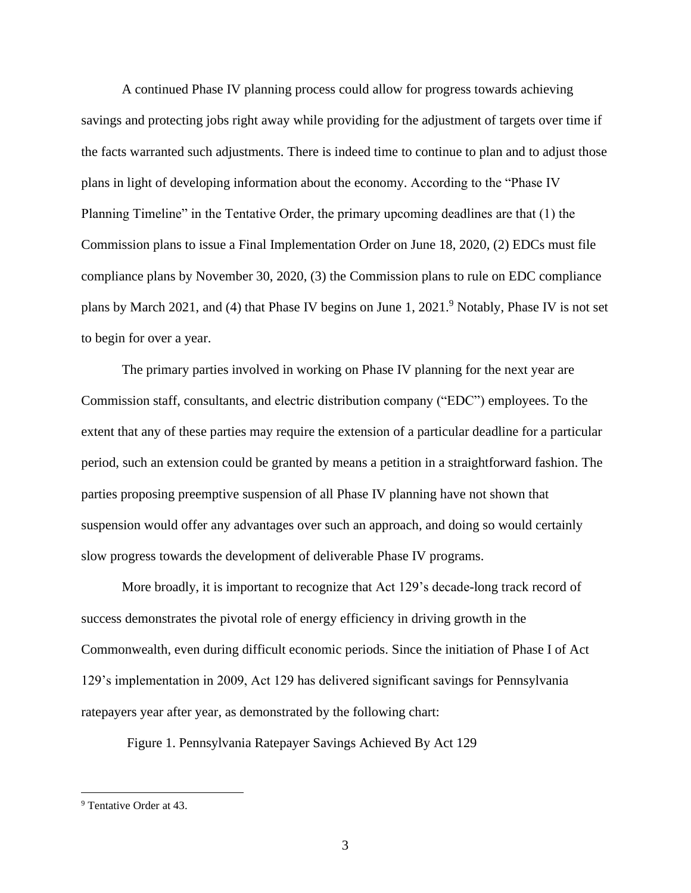A continued Phase IV planning process could allow for progress towards achieving savings and protecting jobs right away while providing for the adjustment of targets over time if the facts warranted such adjustments. There is indeed time to continue to plan and to adjust those plans in light of developing information about the economy. According to the "Phase IV Planning Timeline" in the Tentative Order, the primary upcoming deadlines are that (1) the Commission plans to issue a Final Implementation Order on June 18, 2020, (2) EDCs must file compliance plans by November 30, 2020, (3) the Commission plans to rule on EDC compliance plans by March 2021, and (4) that Phase IV begins on June 1, 2021.<sup>9</sup> Notably, Phase IV is not set to begin for over a year.

The primary parties involved in working on Phase IV planning for the next year are Commission staff, consultants, and electric distribution company ("EDC") employees. To the extent that any of these parties may require the extension of a particular deadline for a particular period, such an extension could be granted by means a petition in a straightforward fashion. The parties proposing preemptive suspension of all Phase IV planning have not shown that suspension would offer any advantages over such an approach, and doing so would certainly slow progress towards the development of deliverable Phase IV programs.

More broadly, it is important to recognize that Act 129's decade-long track record of success demonstrates the pivotal role of energy efficiency in driving growth in the Commonwealth, even during difficult economic periods. Since the initiation of Phase I of Act 129's implementation in 2009, Act 129 has delivered significant savings for Pennsylvania ratepayers year after year, as demonstrated by the following chart:

Figure 1. Pennsylvania Ratepayer Savings Achieved By Act 129

<sup>9</sup> Tentative Order at 43.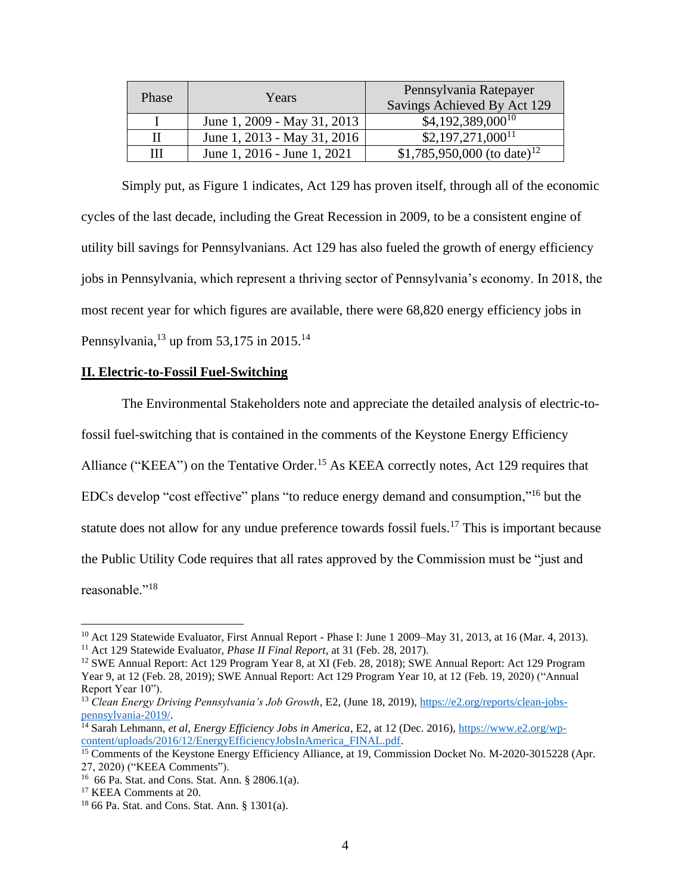| Phase | Years                       | Pennsylvania Ratepayer<br><b>Savings Achieved By Act 129</b> |
|-------|-----------------------------|--------------------------------------------------------------|
|       | June 1, 2009 - May 31, 2013 | $$4,192,389,000^{10}$                                        |
| П     | June 1, 2013 - May 31, 2016 | $$2,197,271,000^{11}$                                        |
| Ш     | June 1, 2016 - June 1, 2021 | \$1,785,950,000 (to date) <sup>12</sup>                      |

Simply put, as Figure 1 indicates, Act 129 has proven itself, through all of the economic cycles of the last decade, including the Great Recession in 2009, to be a consistent engine of utility bill savings for Pennsylvanians. Act 129 has also fueled the growth of energy efficiency jobs in Pennsylvania, which represent a thriving sector of Pennsylvania's economy. In 2018, the most recent year for which figures are available, there were 68,820 energy efficiency jobs in Pennsylvania,<sup>13</sup> up from 53,175 in 2015.<sup>14</sup>

### **II. Electric-to-Fossil Fuel-Switching**

The Environmental Stakeholders note and appreciate the detailed analysis of electric-tofossil fuel-switching that is contained in the comments of the Keystone Energy Efficiency Alliance ("KEEA") on the Tentative Order.<sup>15</sup> As KEEA correctly notes, Act 129 requires that EDCs develop "cost effective" plans "to reduce energy demand and consumption,"<sup>16</sup> but the statute does not allow for any undue preference towards fossil fuels.<sup>17</sup> This is important because the Public Utility Code requires that all rates approved by the Commission must be "just and reasonable."<sup>18</sup>

<sup>&</sup>lt;sup>10</sup> Act 129 Statewide Evaluator, First Annual Report - Phase I: June 1 2009–May 31, 2013, at 16 (Mar. 4, 2013). <sup>11</sup> Act 129 Statewide Evaluator, *Phase II Final Report*, at 31 (Feb. 28, 2017).

<sup>12</sup> SWE Annual Report: Act 129 Program Year 8, at XI (Feb. 28, 2018); SWE Annual Report: Act 129 Program Year 9, at 12 (Feb. 28, 2019); SWE Annual Report: Act 129 Program Year 10, at 12 (Feb. 19, 2020) ("Annual Report Year 10").

<sup>13</sup> *Clean Energy Driving Pennsylvania's Job Growth*, E2, (June 18, 2019), [https://e2.org/reports/clean-jobs](https://e2.org/reports/clean-jobs-pennsylvania-2019/)[pennsylvania-2019/.](https://e2.org/reports/clean-jobs-pennsylvania-2019/)

<sup>14</sup> Sarah Lehmann, *et al*, *Energy Efficiency Jobs in America*, E2, at 12 (Dec. 2016), [https://www.e2.org/wp](https://www.e2.org/wp-content/uploads/2016/12/EnergyEfficiencyJobsInAmerica_FINAL.pdf)[content/uploads/2016/12/EnergyEfficiencyJobsInAmerica\\_FINAL.pdf.](https://www.e2.org/wp-content/uploads/2016/12/EnergyEfficiencyJobsInAmerica_FINAL.pdf)

<sup>&</sup>lt;sup>15</sup> Comments of the Keystone Energy Efficiency Alliance, at 19, Commission Docket No. M-2020-3015228 (Apr. 27, 2020) ("KEEA Comments").

<sup>16</sup> 66 Pa. Stat. and Cons. Stat. Ann. § 2806.1(a).

<sup>&</sup>lt;sup>17</sup> KEEA Comments at 20.

<sup>18</sup> 66 Pa. Stat. and Cons. Stat. Ann. § 1301(a).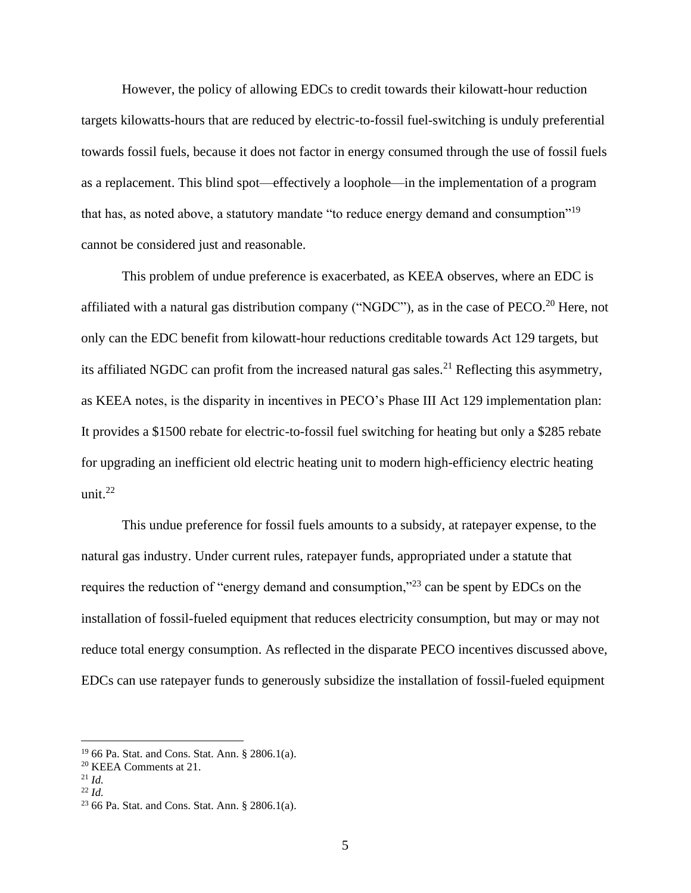However, the policy of allowing EDCs to credit towards their kilowatt-hour reduction targets kilowatts-hours that are reduced by electric-to-fossil fuel-switching is unduly preferential towards fossil fuels, because it does not factor in energy consumed through the use of fossil fuels as a replacement. This blind spot—effectively a loophole—in the implementation of a program that has, as noted above, a statutory mandate "to reduce energy demand and consumption"<sup>19</sup> cannot be considered just and reasonable.

This problem of undue preference is exacerbated, as KEEA observes, where an EDC is affiliated with a natural gas distribution company ("NGDC"), as in the case of PECO.<sup>20</sup> Here, not only can the EDC benefit from kilowatt-hour reductions creditable towards Act 129 targets, but its affiliated NGDC can profit from the increased natural gas sales.<sup>21</sup> Reflecting this asymmetry, as KEEA notes, is the disparity in incentives in PECO's Phase III Act 129 implementation plan: It provides a \$1500 rebate for electric-to-fossil fuel switching for heating but only a \$285 rebate for upgrading an inefficient old electric heating unit to modern high-efficiency electric heating unit. $^{22}$ 

This undue preference for fossil fuels amounts to a subsidy, at ratepayer expense, to the natural gas industry. Under current rules, ratepayer funds, appropriated under a statute that requires the reduction of "energy demand and consumption,"<sup>23</sup> can be spent by EDCs on the installation of fossil-fueled equipment that reduces electricity consumption, but may or may not reduce total energy consumption. As reflected in the disparate PECO incentives discussed above, EDCs can use ratepayer funds to generously subsidize the installation of fossil-fueled equipment

<sup>19</sup> 66 Pa. Stat. and Cons. Stat. Ann. § 2806.1(a).

<sup>20</sup> KEEA Comments at 21.

<sup>21</sup> *Id.*

<sup>22</sup> *Id.*

<sup>23</sup> 66 Pa. Stat. and Cons. Stat. Ann. § 2806.1(a).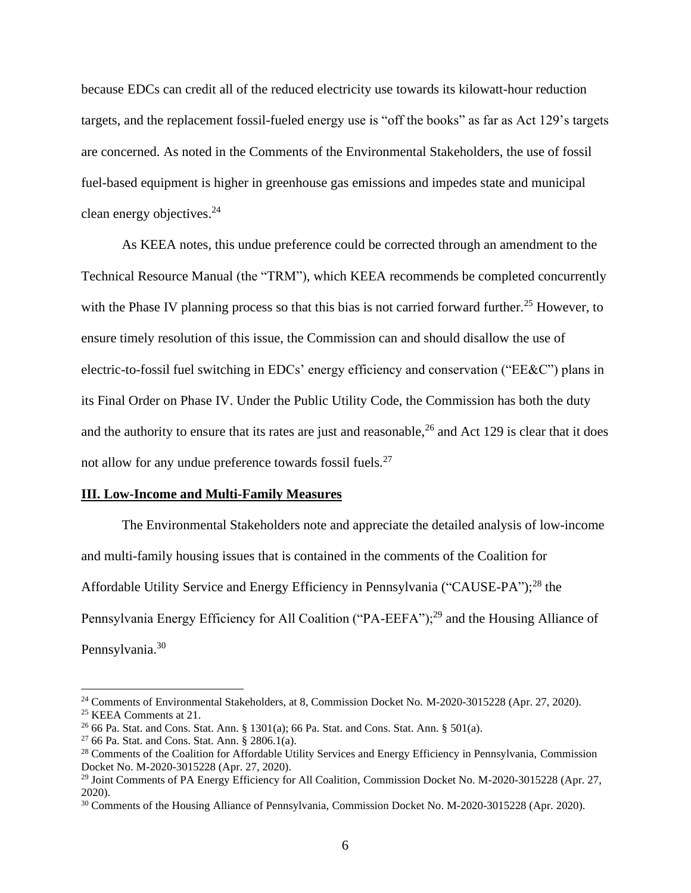because EDCs can credit all of the reduced electricity use towards its kilowatt-hour reduction targets, and the replacement fossil-fueled energy use is "off the books" as far as Act 129's targets are concerned. As noted in the Comments of the Environmental Stakeholders, the use of fossil fuel-based equipment is higher in greenhouse gas emissions and impedes state and municipal clean energy objectives.<sup>24</sup>

As KEEA notes, this undue preference could be corrected through an amendment to the Technical Resource Manual (the "TRM"), which KEEA recommends be completed concurrently with the Phase IV planning process so that this bias is not carried forward further.<sup>25</sup> However, to ensure timely resolution of this issue, the Commission can and should disallow the use of electric-to-fossil fuel switching in EDCs' energy efficiency and conservation ("EE&C") plans in its Final Order on Phase IV. Under the Public Utility Code, the Commission has both the duty and the authority to ensure that its rates are just and reasonable,  $26$  and Act 129 is clear that it does not allow for any undue preference towards fossil fuels.<sup>27</sup>

#### **III. Low-Income and Multi-Family Measures**

The Environmental Stakeholders note and appreciate the detailed analysis of low-income and multi-family housing issues that is contained in the comments of the Coalition for Affordable Utility Service and Energy Efficiency in Pennsylvania ("CAUSE-PA");<sup>28</sup> the Pennsylvania Energy Efficiency for All Coalition ("PA-EEFA");<sup>29</sup> and the Housing Alliance of Pennsylvania.<sup>30</sup>

<sup>24</sup> Comments of Environmental Stakeholders, at 8, Commission Docket No. M-2020-3015228 (Apr. 27, 2020). <sup>25</sup> KEEA Comments at 21.

<sup>&</sup>lt;sup>26</sup> 66 Pa. Stat. and Cons. Stat. Ann. § 1301(a); 66 Pa. Stat. and Cons. Stat. Ann. § 501(a).

<sup>&</sup>lt;sup>27</sup> 66 Pa. Stat. and Cons. Stat. Ann. § 2806.1(a).

<sup>&</sup>lt;sup>28</sup> Comments of the Coalition for Affordable Utility Services and Energy Efficiency in Pennsylvania, Commission Docket No. M-2020-3015228 (Apr. 27, 2020).

<sup>&</sup>lt;sup>29</sup> Joint Comments of PA Energy Efficiency for All Coalition, Commission Docket No. M-2020-3015228 (Apr. 27, 2020).

<sup>30</sup> Comments of the Housing Alliance of Pennsylvania, Commission Docket No. M-2020-3015228 (Apr. 2020).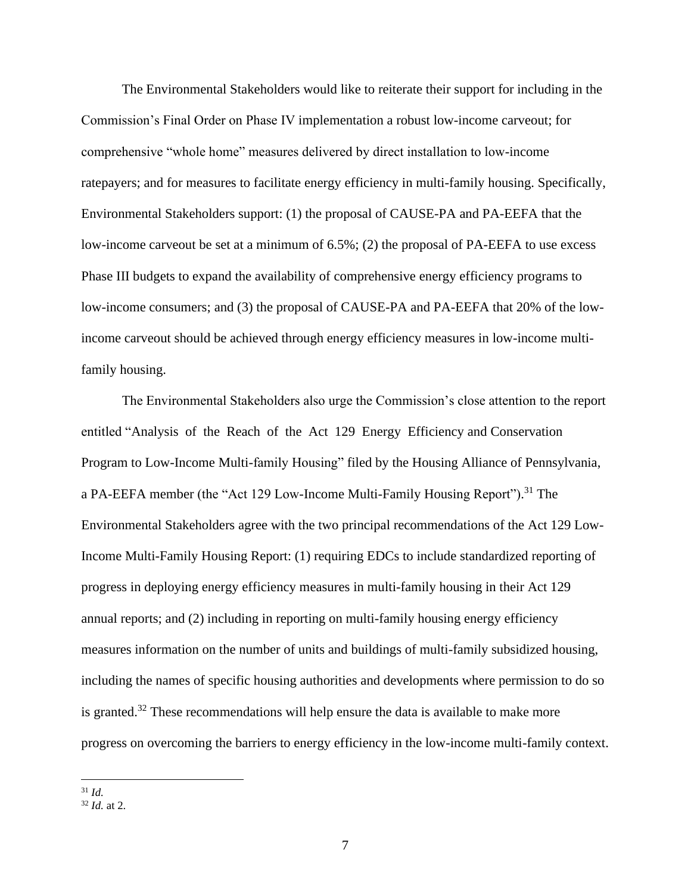The Environmental Stakeholders would like to reiterate their support for including in the Commission's Final Order on Phase IV implementation a robust low-income carveout; for comprehensive "whole home" measures delivered by direct installation to low-income ratepayers; and for measures to facilitate energy efficiency in multi-family housing. Specifically, Environmental Stakeholders support: (1) the proposal of CAUSE-PA and PA-EEFA that the low-income carveout be set at a minimum of 6.5%; (2) the proposal of PA-EEFA to use excess Phase III budgets to expand the availability of comprehensive energy efficiency programs to low-income consumers; and (3) the proposal of CAUSE-PA and PA-EEFA that 20% of the lowincome carveout should be achieved through energy efficiency measures in low-income multifamily housing.

The Environmental Stakeholders also urge the Commission's close attention to the report entitled "Analysis of the Reach of the Act 129 Energy Efficiency and Conservation Program to Low-Income Multi-family Housing" filed by the Housing Alliance of Pennsylvania, a PA-EEFA member (the "Act 129 Low-Income Multi-Family Housing Report").<sup>31</sup> The Environmental Stakeholders agree with the two principal recommendations of the Act 129 Low-Income Multi-Family Housing Report: (1) requiring EDCs to include standardized reporting of progress in deploying energy efficiency measures in multi-family housing in their Act 129 annual reports; and (2) including in reporting on multi-family housing energy efficiency measures information on the number of units and buildings of multi-family subsidized housing, including the names of specific housing authorities and developments where permission to do so is granted.<sup>32</sup> These recommendations will help ensure the data is available to make more progress on overcoming the barriers to energy efficiency in the low-income multi-family context.

<sup>31</sup> *Id.*

<sup>32</sup> *Id.* at 2.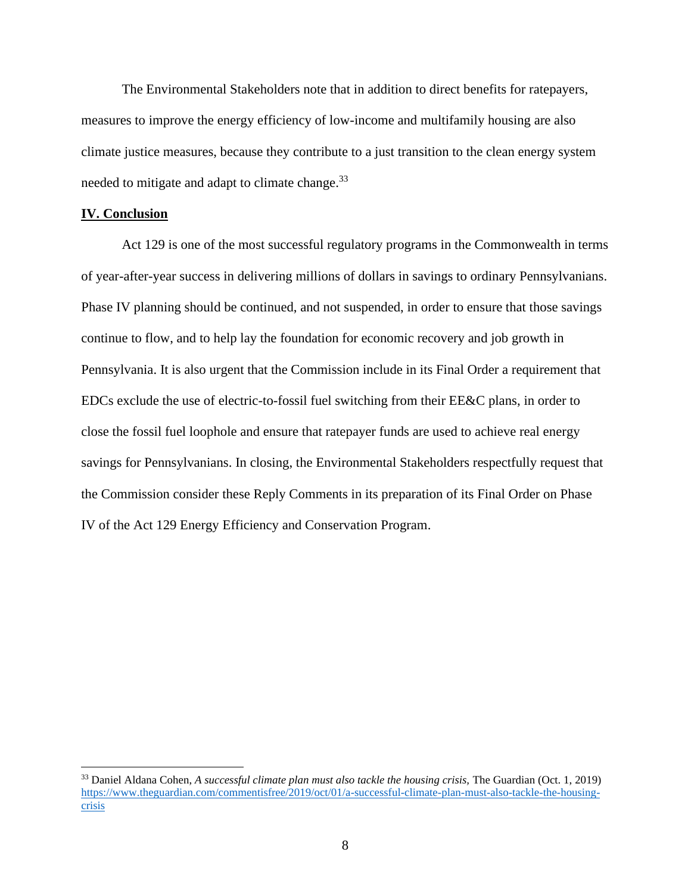The Environmental Stakeholders note that in addition to direct benefits for ratepayers, measures to improve the energy efficiency of low-income and multifamily housing are also climate justice measures, because they contribute to a just transition to the clean energy system needed to mitigate and adapt to climate change.<sup>33</sup>

### **IV. Conclusion**

Act 129 is one of the most successful regulatory programs in the Commonwealth in terms of year-after-year success in delivering millions of dollars in savings to ordinary Pennsylvanians. Phase IV planning should be continued, and not suspended, in order to ensure that those savings continue to flow, and to help lay the foundation for economic recovery and job growth in Pennsylvania. It is also urgent that the Commission include in its Final Order a requirement that EDCs exclude the use of electric-to-fossil fuel switching from their EE&C plans, in order to close the fossil fuel loophole and ensure that ratepayer funds are used to achieve real energy savings for Pennsylvanians. In closing, the Environmental Stakeholders respectfully request that the Commission consider these Reply Comments in its preparation of its Final Order on Phase IV of the Act 129 Energy Efficiency and Conservation Program.

<sup>33</sup> Daniel Aldana Cohen, *A successful climate plan must also tackle the housing crisis,* The Guardian (Oct. 1, 2019) [https://www.theguardian.com/commentisfree/2019/oct/01/a-successful-climate-plan-must-also-tackle-the-housing](https://www.theguardian.com/commentisfree/2019/oct/01/a-successful-climate-plan-must-also-tackle-the-housing-crisis)[crisis](https://www.theguardian.com/commentisfree/2019/oct/01/a-successful-climate-plan-must-also-tackle-the-housing-crisis)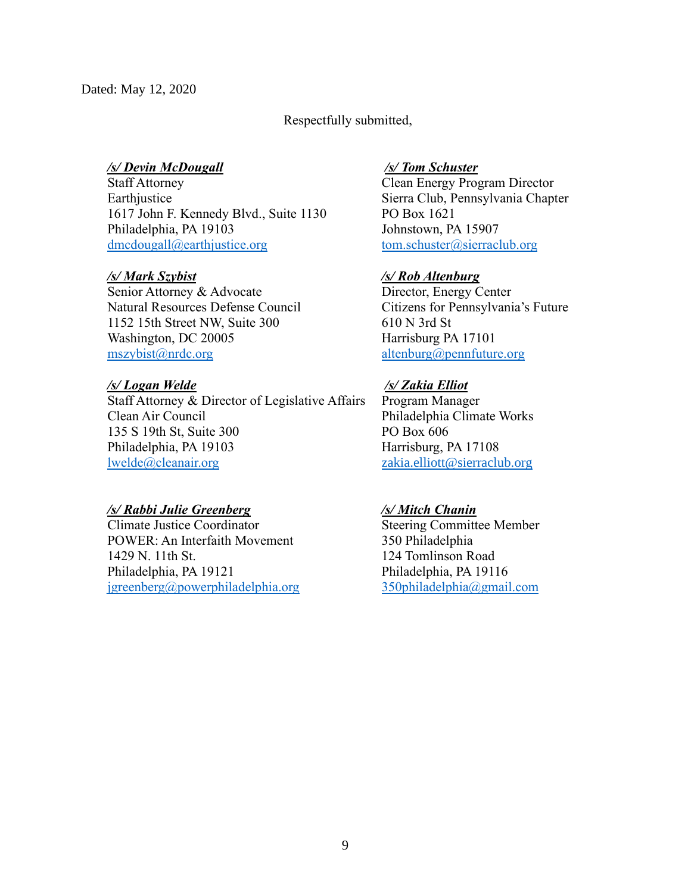# Respectfully submitted,

# */s/ Devin McDougall*

Staff Attorney Earthjustice 1617 John F. Kennedy Blvd., Suite 1130 Philadelphia, PA 19103 [dmcdougall@earthjustice.org](mailto:dmcdougall@earthjustice.org)

# */s/ Mark Szybist*

Senior Attorney & Advocate Natural Resources Defense Council 1152 15th Street NW, Suite 300 Washington, DC 20005 [mszybist@nrdc.org](mailto:mszybist@nrdc.org)

# */s/ Logan Welde*

Staff Attorney & Director of Legislative Affairs Clean Air Council 135 S 19th St, Suite 300 Philadelphia, PA 19103 [lwelde@cleanair.org](mailto:lwelde@cleanair.org)

# */s/ Rabbi Julie Greenberg*

Climate Justice Coordinator POWER: An Interfaith Movement 1429 N. 11th St. Philadelphia, PA 19121 [jgreenberg@powerphiladelphia.org](mailto:jgreenberg@powerphiladelphia.org) 

## */s/ Tom Schuster*

Clean Energy Program Director Sierra Club, Pennsylvania Chapter PO Box 1621 Johnstown, PA 15907 [tom.schuster@sierraclub.org](mailto:tom.schuster@sierraclub.org)

# */s/ Rob Altenburg*

Director, Energy Center Citizens for Pennsylvania's Future 610 N 3rd St Harrisburg PA 17101 [altenburg@pennfuture.org](mailto:altenburg@pennfuture.org)

# */s/ Zakia Elliot*

Program Manager Philadelphia Climate Works PO Box 606 Harrisburg, PA 17108 [zakia.elliott@sierraclub.org](mailto:zakia.elliott@sierraclub.org)

## */s/ Mitch Chanin*

Steering Committee Member 350 Philadelphia 124 Tomlinson Road Philadelphia, PA 19116 [350philadelphia@gmail.com](mailto:350philadelphia@gmail.com)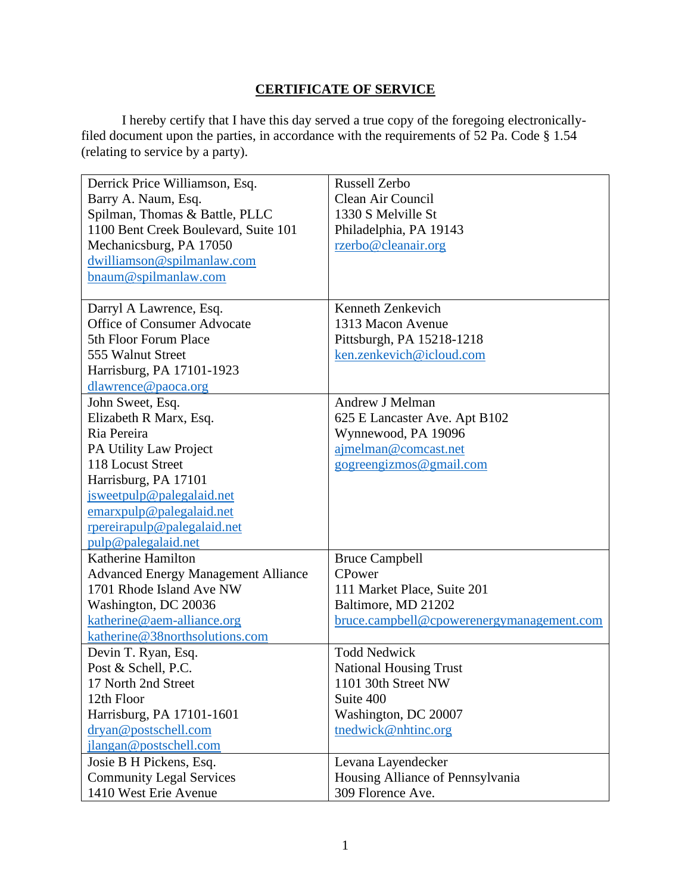# **CERTIFICATE OF SERVICE**

I hereby certify that I have this day served a true copy of the foregoing electronicallyfiled document upon the parties, in accordance with the requirements of 52 Pa. Code § 1.54 (relating to service by a party).

| Derrick Price Williamson, Esq.             | <b>Russell Zerbo</b>                      |
|--------------------------------------------|-------------------------------------------|
| Barry A. Naum, Esq.                        | Clean Air Council                         |
| Spilman, Thomas & Battle, PLLC             | 1330 S Melville St                        |
| 1100 Bent Creek Boulevard, Suite 101       | Philadelphia, PA 19143                    |
| Mechanicsburg, PA 17050                    | rzerbo@cleanair.org                       |
| dwilliamson@spilmanlaw.com                 |                                           |
| bnaum@spilmanlaw.com                       |                                           |
|                                            |                                           |
| Darryl A Lawrence, Esq.                    | Kenneth Zenkevich                         |
| <b>Office of Consumer Advocate</b>         | 1313 Macon Avenue                         |
| 5th Floor Forum Place                      | Pittsburgh, PA 15218-1218                 |
| 555 Walnut Street                          | ken.zenkevich@icloud.com                  |
| Harrisburg, PA 17101-1923                  |                                           |
| dlawrence@paoca.org                        |                                           |
| John Sweet, Esq.                           | Andrew J Melman                           |
| Elizabeth R Marx, Esq.                     | 625 E Lancaster Ave. Apt B102             |
| Ria Pereira                                | Wynnewood, PA 19096                       |
| PA Utility Law Project                     | ajmelman@comcast.net                      |
| 118 Locust Street                          | gogreengizmos@gmail.com                   |
| Harrisburg, PA 17101                       |                                           |
| jsweetpulp@palegalaid.net                  |                                           |
| emarxpulp@palegalaid.net                   |                                           |
| rpereirapulp@palegalaid.net                |                                           |
| pulp@palegalaid.net                        |                                           |
| Katherine Hamilton                         | <b>Bruce Campbell</b>                     |
| <b>Advanced Energy Management Alliance</b> | CPower                                    |
| 1701 Rhode Island Ave NW                   | 111 Market Place, Suite 201               |
| Washington, DC 20036                       | Baltimore, MD 21202                       |
| katherine@aem-alliance.org                 | bruce.campbell@cpowerenergymanagement.com |
| katherine@38northsolutions.com             |                                           |
| Devin T. Ryan, Esq.                        | <b>Todd Nedwick</b>                       |
| Post & Schell, P.C.                        | <b>National Housing Trust</b>             |
| 17 North 2nd Street                        | 1101 30th Street NW                       |
| 12th Floor                                 | Suite 400                                 |
| Harrisburg, PA 17101-1601                  | Washington, DC 20007                      |
| dryan@postschell.com                       | tnedwick@nhtinc.org                       |
| jlangan@postschell.com                     |                                           |
| Josie B H Pickens, Esq.                    | Levana Layendecker                        |
| <b>Community Legal Services</b>            | Housing Alliance of Pennsylvania          |
| 1410 West Erie Avenue                      | 309 Florence Ave.                         |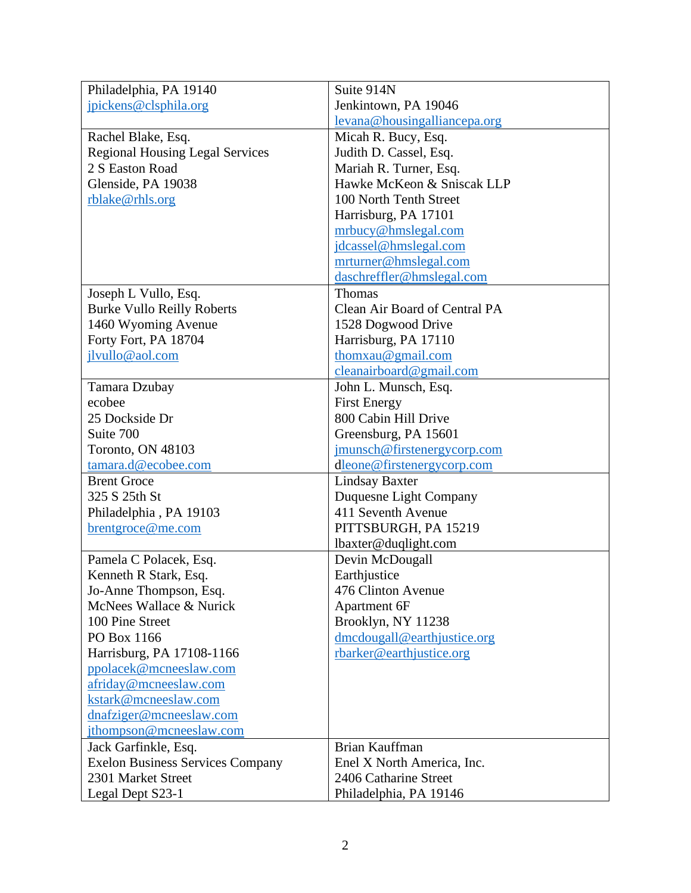| Philadelphia, PA 19140                  | Suite 914N                    |
|-----------------------------------------|-------------------------------|
| jpickens@clsphila.org                   | Jenkintown, PA 19046          |
|                                         | levana@housingalliancepa.org  |
| Rachel Blake, Esq.                      | Micah R. Bucy, Esq.           |
| <b>Regional Housing Legal Services</b>  | Judith D. Cassel, Esq.        |
| 2 S Easton Road                         | Mariah R. Turner, Esq.        |
| Glenside, PA 19038                      | Hawke McKeon & Sniscak LLP    |
| rblake@rhls.org                         | 100 North Tenth Street        |
|                                         | Harrisburg, PA 17101          |
|                                         | mrbucy@hmslegal.com           |
|                                         | jdcassel@hmslegal.com         |
|                                         | mrturner@hmslegal.com         |
|                                         | daschreffler@hmslegal.com     |
| Joseph L Vullo, Esq.                    | Thomas                        |
| <b>Burke Vullo Reilly Roberts</b>       | Clean Air Board of Central PA |
| 1460 Wyoming Avenue                     | 1528 Dogwood Drive            |
| Forty Fort, PA 18704                    | Harrisburg, PA 17110          |
| jlvullo@aol.com                         | thomxau@gmail.com             |
|                                         | cleanairboard@gmail.com       |
| Tamara Dzubay                           | John L. Munsch, Esq.          |
| ecobee                                  | <b>First Energy</b>           |
| 25 Dockside Dr                          | 800 Cabin Hill Drive          |
| Suite 700                               | Greensburg, PA 15601          |
| Toronto, ON 48103                       | jmunsch@firstenergycorp.com   |
| tamara.d@ecobee.com                     | dleone@firstenergycorp.com    |
| <b>Brent Groce</b>                      | <b>Lindsay Baxter</b>         |
| 325 S 25th St                           | Duquesne Light Company        |
| Philadelphia, PA 19103                  | 411 Seventh Avenue            |
| brentgroce@me.com                       | PITTSBURGH, PA 15219          |
|                                         | lbaxter@duqlight.com          |
| Pamela C Polacek, Esq.                  | Devin McDougall               |
| Kenneth R Stark, Esq.                   | Earthjustice                  |
| Jo-Anne Thompson, Esq.                  | 476 Clinton Avenue            |
| McNees Wallace & Nurick                 | Apartment 6F                  |
| 100 Pine Street                         | Brooklyn, NY 11238            |
| PO Box 1166                             | dmcdougall@earthjustice.org   |
| Harrisburg, PA 17108-1166               | rbarker@earthjustice.org      |
| ppolacek@mcneeslaw.com                  |                               |
| afriday@mcneeslaw.com                   |                               |
| kstark@mcneeslaw.com                    |                               |
|                                         |                               |
| dnafziger@mcneeslaw.com                 |                               |
| jthompson@mcneeslaw.com                 |                               |
| Jack Garfinkle, Esq.                    | Brian Kauffman                |
| <b>Exelon Business Services Company</b> | Enel X North America, Inc.    |
| 2301 Market Street                      | 2406 Catharine Street         |
| Legal Dept S23-1                        | Philadelphia, PA 19146        |